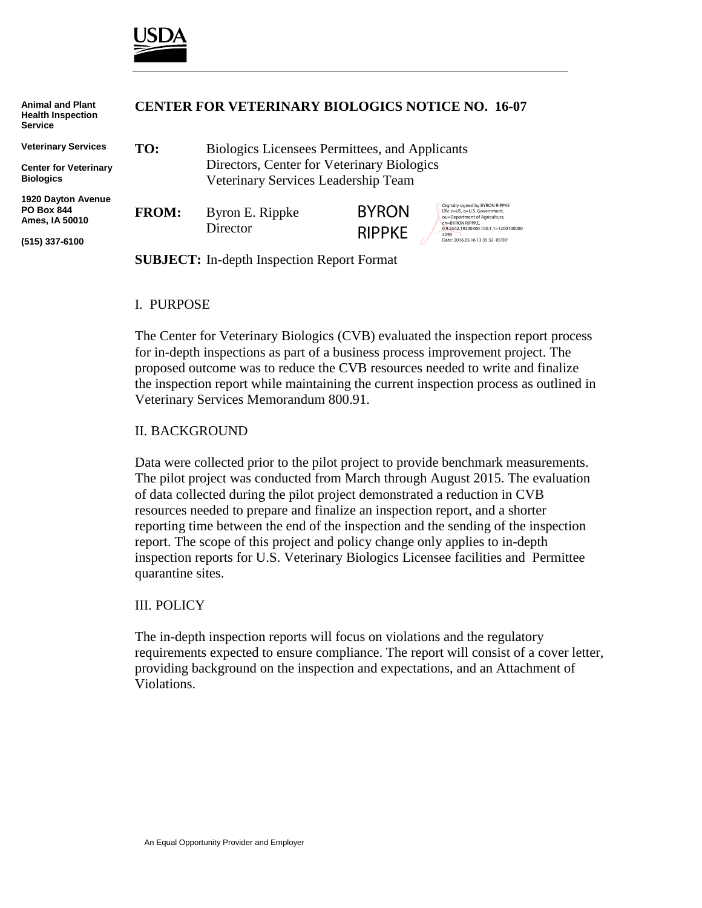

| <b>Animal and Plant</b><br><b>Health Inspection</b><br><b>Service</b> | <b>CENTER FOR VETERINARY BIOLOGICS NOTICE NO. 16-07</b> |                                                |                                                                                  |                                                                                   |  |
|-----------------------------------------------------------------------|---------------------------------------------------------|------------------------------------------------|----------------------------------------------------------------------------------|-----------------------------------------------------------------------------------|--|
| <b>Veterinary Services</b>                                            | TO:                                                     | Biologics Licensees Permittees, and Applicants |                                                                                  |                                                                                   |  |
| <b>Center for Veterinary</b>                                          |                                                         | Directors, Center for Veterinary Biologics     |                                                                                  |                                                                                   |  |
| <b>Biologics</b>                                                      | Veterinary Services Leadership Team                     |                                                |                                                                                  |                                                                                   |  |
| <b>1920 Dayton Avenue</b><br><b>PO Box 844</b><br>Ames, IA 50010      | <b>FROM:</b>                                            | Byron E. Rippke                                | Digitally signed by BYRON RIPPKE<br><b>BYRON</b><br>DN: c=US, o=U.S. Government. |                                                                                   |  |
|                                                                       |                                                         |                                                |                                                                                  | ou=Department of Agriculture.<br>cn=BYRON RIPPKE.                                 |  |
| (515) 337-6100                                                        |                                                         | Director                                       | <b>RIPPKE</b>                                                                    | 0.9.2342.19200300.100.1.1=1200100000<br>4093<br>Date: 2016.05.16 13:35:32 -05'00' |  |
|                                                                       | <b>SUBJECT:</b> In-depth Inspection Report Format       |                                                |                                                                                  |                                                                                   |  |

## I. PURPOSE

The Center for Veterinary Biologics (CVB) evaluated the inspection report process for in-depth inspections as part of a business process improvement project. The proposed outcome was to reduce the CVB resources needed to write and finalize the inspection report while maintaining the current inspection process as outlined in Veterinary Services Memorandum 800.91.

## II. BACKGROUND

Data were collected prior to the pilot project to provide benchmark measurements. The pilot project was conducted from March through August 2015. The evaluation of data collected during the pilot project demonstrated a reduction in CVB resources needed to prepare and finalize an inspection report, and a shorter reporting time between the end of the inspection and the sending of the inspection report. The scope of this project and policy change only applies to in-depth inspection reports for U.S. Veterinary Biologics Licensee facilities and Permittee quarantine sites.

#### III. POLICY

The in-depth inspection reports will focus on violations and the regulatory requirements expected to ensure compliance. The report will consist of a cover letter, providing background on the inspection and expectations, and an Attachment of Violations.